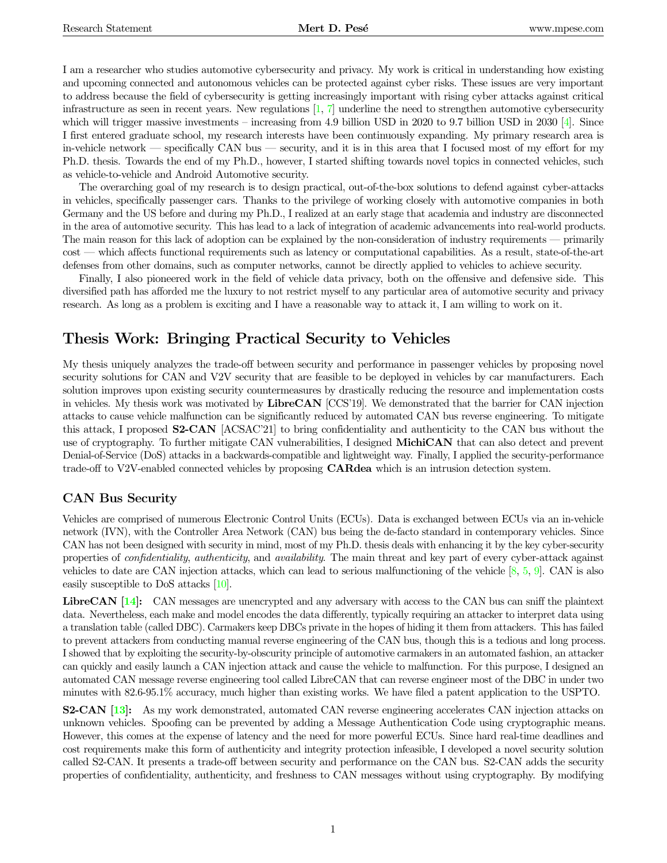I am a researcher who studies automotive cybersecurity and privacy. My work is critical in understanding how existing and upcoming connected and autonomous vehicles can be protected against cyber risks. These issues are very important to address because the field of cybersecurity is getting increasingly important with rising cyber attacks against critical infrastructure as seen in recent years. New regulations  $[1, 7]$  $[1, 7]$  $[1, 7]$  underline the need to strengthen automotive cybersecurity which will trigger massive investments – increasing from 4.9 billion USD in 2020 to 9.7 billion USD in 2030 [\[4\]](#page-2-1). Since I first entered graduate school, my research interests have been continuously expanding. My primary research area is in-vehicle network — specifically CAN bus — security, and it is in this area that I focused most of my effort for my Ph.D. thesis. Towards the end of my Ph.D., however, I started shifting towards novel topics in connected vehicles, such as vehicle-to-vehicle and Android Automotive security.

The overarching goal of my research is to design practical, out-of-the-box solutions to defend against cyber-attacks in vehicles, specifically passenger cars. Thanks to the privilege of working closely with automotive companies in both Germany and the US before and during my Ph.D., I realized at an early stage that academia and industry are disconnected in the area of automotive security. This has lead to a lack of integration of academic advancements into real-world products. The main reason for this lack of adoption can be explained by the non-consideration of industry requirements — primarily cost — which affects functional requirements such as latency or computational capabilities. As a result, state-of-the-art defenses from other domains, such as computer networks, cannot be directly applied to vehicles to achieve security.

Finally, I also pioneered work in the field of vehicle data privacy, both on the offensive and defensive side. This diversified path has afforded me the luxury to not restrict myself to any particular area of automotive security and privacy research. As long as a problem is exciting and I have a reasonable way to attack it, I am willing to work on it.

### Thesis Work: Bringing Practical Security to Vehicles

My thesis uniquely analyzes the trade-off between security and performance in passenger vehicles by proposing novel security solutions for CAN and V2V security that are feasible to be deployed in vehicles by car manufacturers. Each solution improves upon existing security countermeasures by drastically reducing the resource and implementation costs in vehicles. My thesis work was motivated by LibreCAN [CCS'19]. We demonstrated that the barrier for CAN injection attacks to cause vehicle malfunction can be significantly reduced by automated CAN bus reverse engineering. To mitigate this attack, I proposed S2-CAN [ACSAC'21] to bring confidentiality and authenticity to the CAN bus without the use of cryptography. To further mitigate CAN vulnerabilities, I designed **MichiCAN** that can also detect and prevent Denial-of-Service (DoS) attacks in a backwards-compatible and lightweight way. Finally, I applied the security-performance trade-off to V2V-enabled connected vehicles by proposing CARdea which is an intrusion detection system.

#### CAN Bus Security

Vehicles are comprised of numerous Electronic Control Units (ECUs). Data is exchanged between ECUs via an in-vehicle network (IVN), with the Controller Area Network (CAN) bus being the de-facto standard in contemporary vehicles. Since CAN has not been designed with security in mind, most of my Ph.D. thesis deals with enhancing it by the key cyber-security properties of confidentiality, authenticity, and availability. The main threat and key part of every cyber-attack against vehicles to date are CAN injection attacks, which can lead to serious malfunctioning of the vehicle [\[8,](#page-3-1) [5,](#page-2-2) [9\]](#page-3-2). CAN is also easily susceptible to DoS attacks [\[10\]](#page-3-3).

LibreCAN [\[14\]](#page-3-4): CAN messages are unencrypted and any adversary with access to the CAN bus can sniff the plaintext data. Nevertheless, each make and model encodes the data differently, typically requiring an attacker to interpret data using a translation table (called DBC). Carmakers keep DBCs private in the hopes of hiding it them from attackers. This has failed to prevent attackers from conducting manual reverse engineering of the CAN bus, though this is a tedious and long process. I showed that by exploiting the security-by-obscurity principle of automotive carmakers in an automated fashion, an attacker can quickly and easily launch a CAN injection attack and cause the vehicle to malfunction. For this purpose, I designed an automated CAN message reverse engineering tool called LibreCAN that can reverse engineer most of the DBC in under two minutes with 82.6-95.1% accuracy, much higher than existing works. We have filed a patent application to the USPTO.

S2-CAN [\[13\]](#page-3-5): As my work demonstrated, automated CAN reverse engineering accelerates CAN injection attacks on unknown vehicles. Spoofing can be prevented by adding a Message Authentication Code using cryptographic means. However, this comes at the expense of latency and the need for more powerful ECUs. Since hard real-time deadlines and cost requirements make this form of authenticity and integrity protection infeasible, I developed a novel security solution called S2-CAN. It presents a trade-off between security and performance on the CAN bus. S2-CAN adds the security properties of confidentiality, authenticity, and freshness to CAN messages without using cryptography. By modifying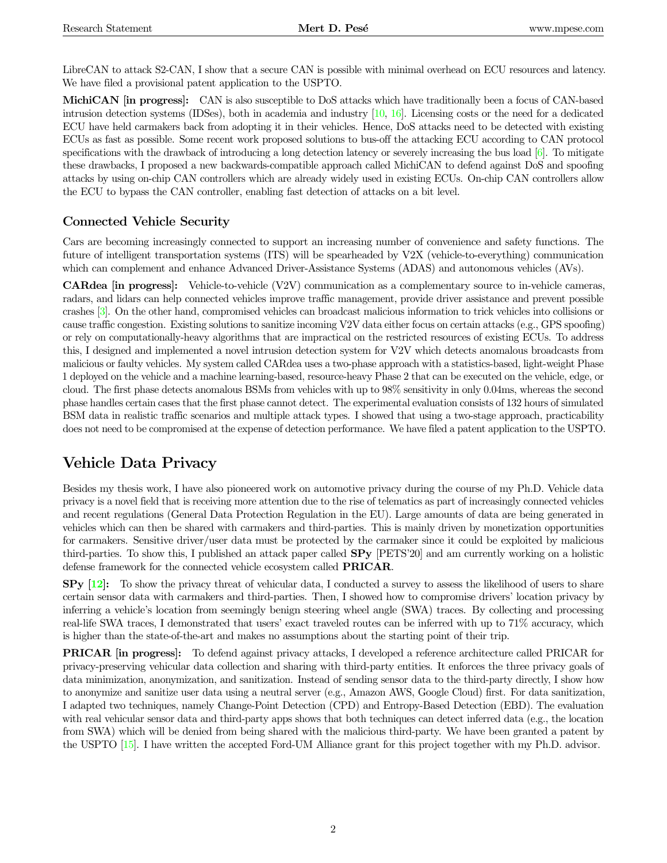LibreCAN to attack S2-CAN, I show that a secure CAN is possible with minimal overhead on ECU resources and latency. We have filed a provisional patent application to the USPTO.

MichiCAN [in progress]: CAN is also susceptible to DoS attacks which have traditionally been a focus of CAN-based intrusion detection systems (IDSes), both in academia and industry [\[10,](#page-3-3) [16\]](#page-3-6). Licensing costs or the need for a dedicated ECU have held carmakers back from adopting it in their vehicles. Hence, DoS attacks need to be detected with existing ECUs as fast as possible. Some recent work proposed solutions to bus-off the attacking ECU according to CAN protocol specifications with the drawback of introducing a long detection latency or severely increasing the bus load [\[6\]](#page-3-7). To mitigate these drawbacks, I proposed a new backwards-compatible approach called MichiCAN to defend against DoS and spoofing attacks by using on-chip CAN controllers which are already widely used in existing ECUs. On-chip CAN controllers allow the ECU to bypass the CAN controller, enabling fast detection of attacks on a bit level.

### Connected Vehicle Security

Cars are becoming increasingly connected to support an increasing number of convenience and safety functions. The future of intelligent transportation systems (ITS) will be spearheaded by V2X (vehicle-to-everything) communication which can complement and enhance Advanced Driver-Assistance Systems (ADAS) and autonomous vehicles (AVs).

CARdea [in progress]: Vehicle-to-vehicle (V2V) communication as a complementary source to in-vehicle cameras, radars, and lidars can help connected vehicles improve traffic management, provide driver assistance and prevent possible crashes [\[3\]](#page-2-3). On the other hand, compromised vehicles can broadcast malicious information to trick vehicles into collisions or cause traffic congestion. Existing solutions to sanitize incoming V2V data either focus on certain attacks (e.g., GPS spoofing) or rely on computationally-heavy algorithms that are impractical on the restricted resources of existing ECUs. To address this, I designed and implemented a novel intrusion detection system for V2V which detects anomalous broadcasts from malicious or faulty vehicles. My system called CARdea uses a two-phase approach with a statistics-based, light-weight Phase 1 deployed on the vehicle and a machine learning-based, resource-heavy Phase 2 that can be executed on the vehicle, edge, or cloud. The first phase detects anomalous BSMs from vehicles with up to 98% sensitivity in only 0.04ms, whereas the second phase handles certain cases that the first phase cannot detect. The experimental evaluation consists of 132 hours of simulated BSM data in realistic traffic scenarios and multiple attack types. I showed that using a two-stage approach, practicability does not need to be compromised at the expense of detection performance. We have filed a patent application to the USPTO.

# Vehicle Data Privacy

Besides my thesis work, I have also pioneered work on automotive privacy during the course of my Ph.D. Vehicle data privacy is a novel field that is receiving more attention due to the rise of telematics as part of increasingly connected vehicles and recent regulations (General Data Protection Regulation in the EU). Large amounts of data are being generated in vehicles which can then be shared with carmakers and third-parties. This is mainly driven by monetization opportunities for carmakers. Sensitive driver/user data must be protected by the carmaker since it could be exploited by malicious third-parties. To show this, I published an attack paper called SPy [PETS'20] and am currently working on a holistic defense framework for the connected vehicle ecosystem called PRICAR.

 $SPy$  [\[12\]](#page-3-8): To show the privacy threat of vehicular data, I conducted a survey to assess the likelihood of users to share certain sensor data with carmakers and third-parties. Then, I showed how to compromise drivers' location privacy by inferring a vehicle's location from seemingly benign steering wheel angle (SWA) traces. By collecting and processing real-life SWA traces, I demonstrated that users' exact traveled routes can be inferred with up to 71% accuracy, which is higher than the state-of-the-art and makes no assumptions about the starting point of their trip.

PRICAR [in progress]: To defend against privacy attacks, I developed a reference architecture called PRICAR for privacy-preserving vehicular data collection and sharing with third-party entities. It enforces the three privacy goals of data minimization, anonymization, and sanitization. Instead of sending sensor data to the third-party directly, I show how to anonymize and sanitize user data using a neutral server (e.g., Amazon AWS, Google Cloud) first. For data sanitization, I adapted two techniques, namely Change-Point Detection (CPD) and Entropy-Based Detection (EBD). The evaluation with real vehicular sensor data and third-party apps shows that both techniques can detect inferred data (e.g., the location from SWA) which will be denied from being shared with the malicious third-party. We have been granted a patent by the USPTO [\[15\]](#page-3-9). I have written the accepted Ford-UM Alliance grant for this project together with my Ph.D. advisor.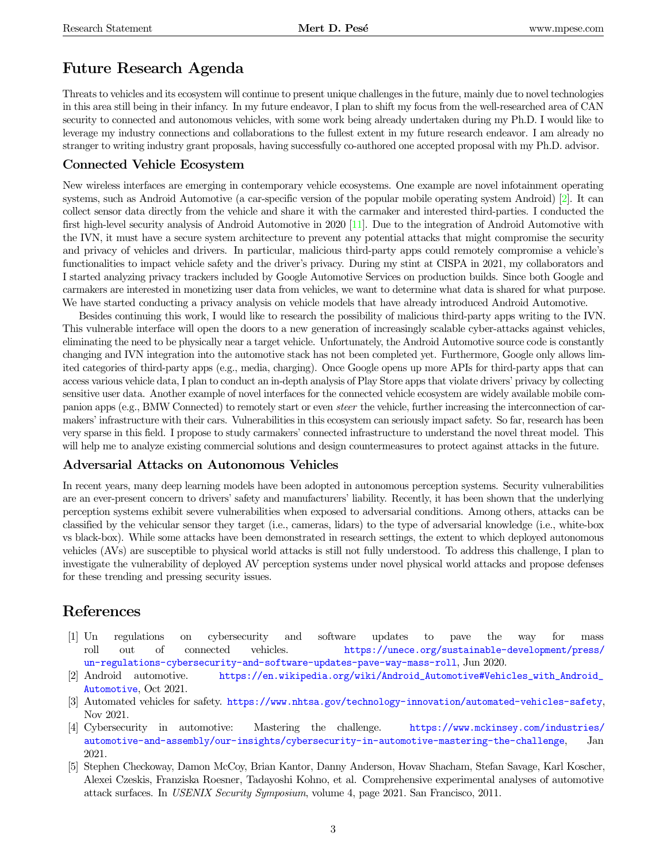## Future Research Agenda

Threats to vehicles and its ecosystem will continue to present unique challenges in the future, mainly due to novel technologies in this area still being in their infancy. In my future endeavor, I plan to shift my focus from the well-researched area of CAN security to connected and autonomous vehicles, with some work being already undertaken during my Ph.D. I would like to leverage my industry connections and collaborations to the fullest extent in my future research endeavor. I am already no stranger to writing industry grant proposals, having successfully co-authored one accepted proposal with my Ph.D. advisor.

### Connected Vehicle Ecosystem

New wireless interfaces are emerging in contemporary vehicle ecosystems. One example are novel infotainment operating systems, such as Android Automotive (a car-specific version of the popular mobile operating system Android) [\[2\]](#page-2-4). It can collect sensor data directly from the vehicle and share it with the carmaker and interested third-parties. I conducted the first high-level security analysis of Android Automotive in 2020 [\[11\]](#page-3-10). Due to the integration of Android Automotive with the IVN, it must have a secure system architecture to prevent any potential attacks that might compromise the security and privacy of vehicles and drivers. In particular, malicious third-party apps could remotely compromise a vehicle's functionalities to impact vehicle safety and the driver's privacy. During my stint at CISPA in 2021, my collaborators and I started analyzing privacy trackers included by Google Automotive Services on production builds. Since both Google and carmakers are interested in monetizing user data from vehicles, we want to determine what data is shared for what purpose. We have started conducting a privacy analysis on vehicle models that have already introduced Android Automotive.

Besides continuing this work, I would like to research the possibility of malicious third-party apps writing to the IVN. This vulnerable interface will open the doors to a new generation of increasingly scalable cyber-attacks against vehicles, eliminating the need to be physically near a target vehicle. Unfortunately, the Android Automotive source code is constantly changing and IVN integration into the automotive stack has not been completed yet. Furthermore, Google only allows limited categories of third-party apps (e.g., media, charging). Once Google opens up more APIs for third-party apps that can access various vehicle data, I plan to conduct an in-depth analysis of Play Store apps that violate drivers' privacy by collecting sensitive user data. Another example of novel interfaces for the connected vehicle ecosystem are widely available mobile companion apps (e.g., BMW Connected) to remotely start or even steer the vehicle, further increasing the interconnection of carmakers' infrastructure with their cars. Vulnerabilities in this ecosystem can seriously impact safety. So far, research has been very sparse in this field. I propose to study carmakers' connected infrastructure to understand the novel threat model. This will help me to analyze existing commercial solutions and design countermeasures to protect against attacks in the future.

#### Adversarial Attacks on Autonomous Vehicles

In recent years, many deep learning models have been adopted in autonomous perception systems. Security vulnerabilities are an ever-present concern to drivers' safety and manufacturers' liability. Recently, it has been shown that the underlying perception systems exhibit severe vulnerabilities when exposed to adversarial conditions. Among others, attacks can be classified by the vehicular sensor they target (i.e., cameras, lidars) to the type of adversarial knowledge (i.e., white-box vs black-box). While some attacks have been demonstrated in research settings, the extent to which deployed autonomous vehicles (AVs) are susceptible to physical world attacks is still not fully understood. To address this challenge, I plan to investigate the vulnerability of deployed AV perception systems under novel physical world attacks and propose defenses for these trending and pressing security issues.

### References

- <span id="page-2-0"></span>[1] Un regulations on cybersecurity and software updates to pave the way for mass roll out of connected vehicles. [https://unece.org/sustainable-development/press/](https://unece.org/sustainable-development/press/un-regulations-cybersecurity-and-software-updates-pave-way-mass-roll) [un-regulations-cybersecurity-and-software-updates-pave-way-mass-roll](https://unece.org/sustainable-development/press/un-regulations-cybersecurity-and-software-updates-pave-way-mass-roll), Jun 2020.
- <span id="page-2-4"></span>[2] Android automotive. [https://en.wikipedia.org/wiki/Android\\_Automotive#Vehicles\\_with\\_Android\\_](https://en.wikipedia.org/wiki/Android_Automotive#Vehicles_with_Android_Automotive) [Automotive](https://en.wikipedia.org/wiki/Android_Automotive#Vehicles_with_Android_Automotive), Oct 2021.
- <span id="page-2-3"></span>[3] Automated vehicles for safety. <https://www.nhtsa.gov/technology-innovation/automated-vehicles-safety>, Nov 2021.
- <span id="page-2-1"></span>[4] Cybersecurity in automotive: Mastering the challenge. [https://www.mckinsey.com/industries/](https://www.mckinsey.com/industries/automotive-and-assembly/our-insights/cybersecurity-in-automotive-mastering-the-challenge) [automotive-and-assembly/our-insights/cybersecurity-in-automotive-mastering-the-challenge](https://www.mckinsey.com/industries/automotive-and-assembly/our-insights/cybersecurity-in-automotive-mastering-the-challenge), Jan 2021.
- <span id="page-2-2"></span>[5] Stephen Checkoway, Damon McCoy, Brian Kantor, Danny Anderson, Hovav Shacham, Stefan Savage, Karl Koscher, Alexei Czeskis, Franziska Roesner, Tadayoshi Kohno, et al. Comprehensive experimental analyses of automotive attack surfaces. In USENIX Security Symposium, volume 4, page 2021. San Francisco, 2011.